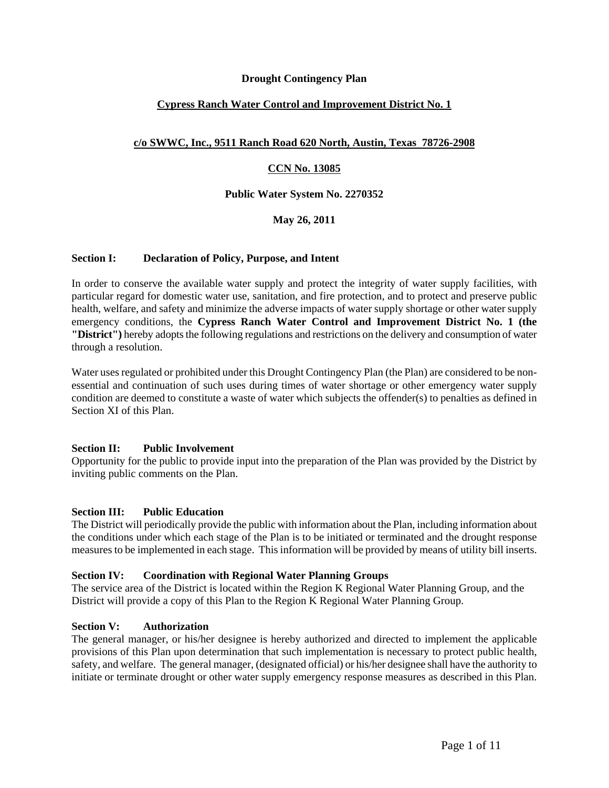## **Drought Contingency Plan**

# **Cypress Ranch Water Control and Improvement District No. 1**

# **c/o SWWC, Inc., 9511 Ranch Road 620 North, Austin, Texas 78726-2908**

# **CCN No. 13085**

## **Public Water System No. 2270352**

# **May 26, 2011**

## **Section I: Declaration of Policy, Purpose, and Intent**

In order to conserve the available water supply and protect the integrity of water supply facilities, with particular regard for domestic water use, sanitation, and fire protection, and to protect and preserve public health, welfare, and safety and minimize the adverse impacts of water supply shortage or other water supply emergency conditions, the **Cypress Ranch Water Control and Improvement District No. 1 (the "District")** hereby adopts the following regulations and restrictions on the delivery and consumption of water through a resolution.

Water uses regulated or prohibited under this Drought Contingency Plan (the Plan) are considered to be nonessential and continuation of such uses during times of water shortage or other emergency water supply condition are deemed to constitute a waste of water which subjects the offender(s) to penalties as defined in Section XI of this Plan.

## **Section II: Public Involvement**

Opportunity for the public to provide input into the preparation of the Plan was provided by the District by inviting public comments on the Plan.

## **Section III: Public Education**

The District will periodically provide the public with information about the Plan, including information about the conditions under which each stage of the Plan is to be initiated or terminated and the drought response measures to be implemented in each stage. This information will be provided by means of utility bill inserts.

## **Section IV: Coordination with Regional Water Planning Groups**

The service area of the District is located within the Region K Regional Water Planning Group, and the District will provide a copy of this Plan to the Region K Regional Water Planning Group.

## **Section V: Authorization**

The general manager, or his/her designee is hereby authorized and directed to implement the applicable provisions of this Plan upon determination that such implementation is necessary to protect public health, safety, and welfare. The general manager, (designated official) or his/her designee shall have the authority to initiate or terminate drought or other water supply emergency response measures as described in this Plan.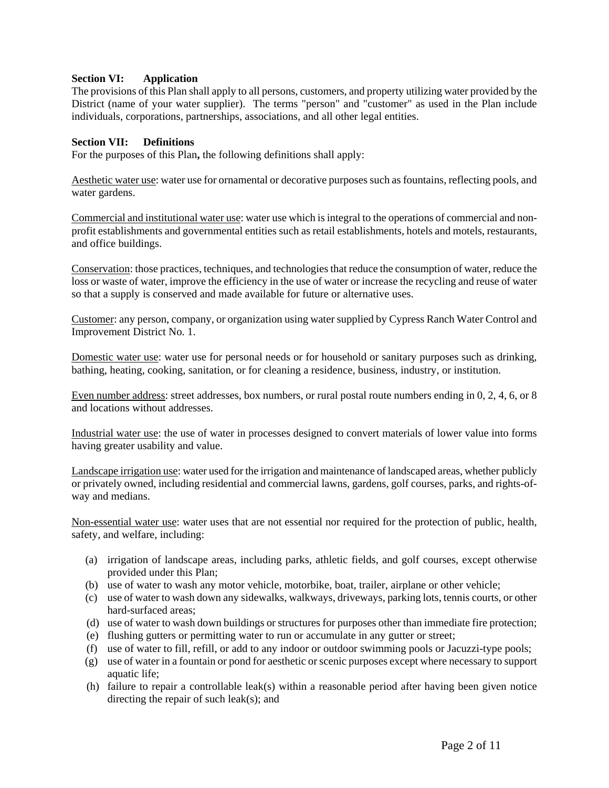## **Section VI: Application**

The provisions of this Plan shall apply to all persons, customers, and property utilizing water provided by the District (name of your water supplier).The terms "person" and "customer" as used in the Plan include individuals, corporations, partnerships, associations, and all other legal entities.

## **Section VII: Definitions**

For the purposes of this Plan**,** the following definitions shall apply:

Aesthetic water use: water use for ornamental or decorative purposes such as fountains, reflecting pools, and water gardens.

Commercial and institutional water use: water use which is integral to the operations of commercial and nonprofit establishments and governmental entities such as retail establishments, hotels and motels, restaurants, and office buildings.

Conservation: those practices, techniques, and technologies that reduce the consumption of water, reduce the loss or waste of water, improve the efficiency in the use of water or increase the recycling and reuse of water so that a supply is conserved and made available for future or alternative uses.

Customer: any person, company, or organization using water supplied by Cypress Ranch Water Control and Improvement District No. 1.

Domestic water use: water use for personal needs or for household or sanitary purposes such as drinking, bathing, heating, cooking, sanitation, or for cleaning a residence, business, industry, or institution.

Even number address: street addresses, box numbers, or rural postal route numbers ending in 0, 2, 4, 6, or 8 and locations without addresses.

Industrial water use: the use of water in processes designed to convert materials of lower value into forms having greater usability and value.

Landscape irrigation use: water used for the irrigation and maintenance of landscaped areas, whether publicly or privately owned, including residential and commercial lawns, gardens, golf courses, parks, and rights-ofway and medians.

Non-essential water use: water uses that are not essential nor required for the protection of public, health, safety, and welfare, including:

- (a) irrigation of landscape areas, including parks, athletic fields, and golf courses, except otherwise provided under this Plan;
- (b) use of water to wash any motor vehicle, motorbike, boat, trailer, airplane or other vehicle;
- (c) use of water to wash down any sidewalks, walkways, driveways, parking lots, tennis courts, or other hard-surfaced areas;
- (d) use of water to wash down buildings or structures for purposes other than immediate fire protection;
- (e) flushing gutters or permitting water to run or accumulate in any gutter or street;
- (f) use of water to fill, refill, or add to any indoor or outdoor swimming pools or Jacuzzi-type pools;
- (g) use of water in a fountain or pond for aesthetic or scenic purposes except where necessary to support aquatic life;
- (h) failure to repair a controllable leak(s) within a reasonable period after having been given notice directing the repair of such leak(s); and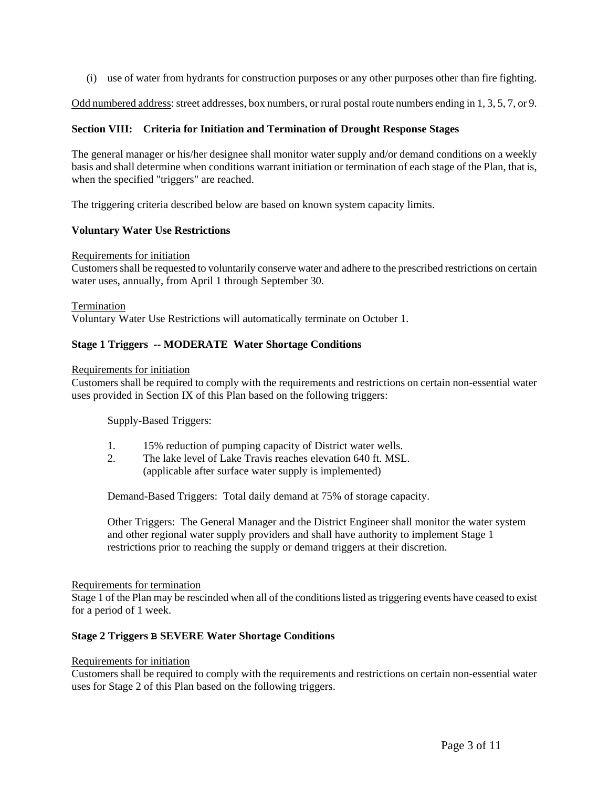(i) use of water from hydrants for construction purposes or any other purposes other than fire fighting.

Odd numbered address: street addresses, box numbers, or rural postal route numbers ending in 1, 3, 5, 7, or 9.

## **Section VIII: Criteria for Initiation and Termination of Drought Response Stages**

The general manager or his/her designee shall monitor water supply and/or demand conditions on a weekly basis and shall determine when conditions warrant initiation or termination of each stage of the Plan, that is, when the specified "triggers" are reached.

The triggering criteria described below are based on known system capacity limits.

## **Voluntary Water Use Restrictions**

### Requirements for initiation

Customers shall be requested to voluntarily conserve water and adhere to the prescribed restrictions on certain water uses, annually, from April 1 through September 30.

### Termination

Voluntary Water Use Restrictions will automatically terminate on October 1.

## **Stage 1 Triggers -- MODERATE Water Shortage Conditions**

#### Requirements for initiation

Customers shall be required to comply with the requirements and restrictions on certain non-essential water uses provided in Section IX of this Plan based on the following triggers:

Supply-Based Triggers:

- 1. 15% reduction of pumping capacity of District water wells.
- 2. The lake level of Lake Travis reaches elevation 640 ft. MSL. (applicable after surface water supply is implemented)

Demand-Based Triggers: Total daily demand at 75% of storage capacity.

Other Triggers: The General Manager and the District Engineer shall monitor the water system and other regional water supply providers and shall have authority to implement Stage 1 restrictions prior to reaching the supply or demand triggers at their discretion.

#### Requirements for termination

Stage 1 of the Plan may be rescinded when all of the conditions listed as triggering events have ceased to exist for a period of 1 week.

## **Stage 2 Triggers B SEVERE Water Shortage Conditions**

#### Requirements for initiation

Customers shall be required to comply with the requirements and restrictions on certain non-essential water uses for Stage 2 of this Plan based on the following triggers.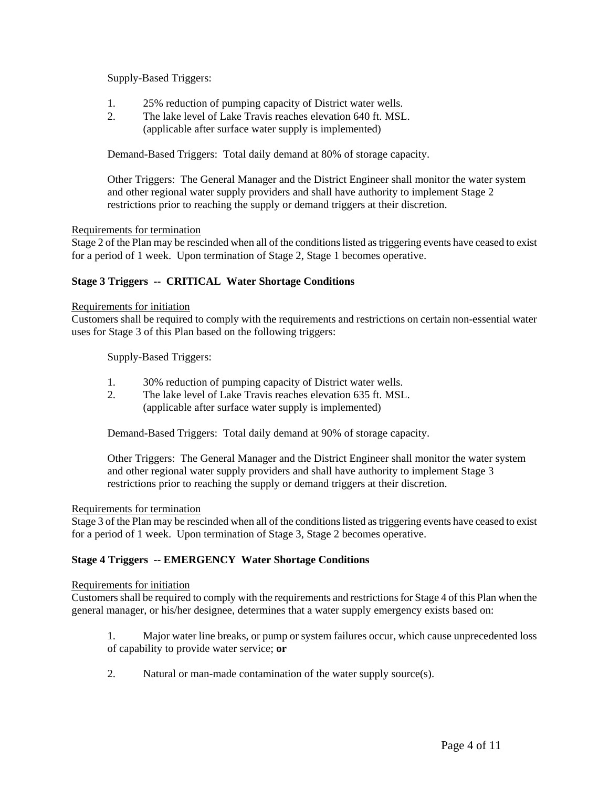Supply-Based Triggers:

- 1. 25% reduction of pumping capacity of District water wells.
- 2. The lake level of Lake Travis reaches elevation 640 ft. MSL. (applicable after surface water supply is implemented)

Demand-Based Triggers: Total daily demand at 80% of storage capacity.

Other Triggers: The General Manager and the District Engineer shall monitor the water system and other regional water supply providers and shall have authority to implement Stage 2 restrictions prior to reaching the supply or demand triggers at their discretion.

### Requirements for termination

Stage 2 of the Plan may be rescinded when all of the conditions listed as triggering events have ceased to exist for a period of 1 week. Upon termination of Stage 2, Stage 1 becomes operative.

## **Stage 3 Triggers -- CRITICAL Water Shortage Conditions**

### Requirements for initiation

Customers shall be required to comply with the requirements and restrictions on certain non-essential water uses for Stage 3 of this Plan based on the following triggers:

Supply-Based Triggers:

- 1. 30% reduction of pumping capacity of District water wells.
- 2. The lake level of Lake Travis reaches elevation 635 ft. MSL. (applicable after surface water supply is implemented)

Demand-Based Triggers: Total daily demand at 90% of storage capacity.

Other Triggers: The General Manager and the District Engineer shall monitor the water system and other regional water supply providers and shall have authority to implement Stage 3 restrictions prior to reaching the supply or demand triggers at their discretion.

## Requirements for termination

Stage 3 of the Plan may be rescinded when all of the conditions listed as triggering events have ceased to exist for a period of 1 week. Upon termination of Stage 3, Stage 2 becomes operative.

## **Stage 4 Triggers -- EMERGENCY Water Shortage Conditions**

#### Requirements for initiation

Customers shall be required to comply with the requirements and restrictions for Stage 4 of this Plan when the general manager, or his/her designee, determines that a water supply emergency exists based on:

- 1. Major water line breaks, or pump or system failures occur, which cause unprecedented loss of capability to provide water service; **or**
- 2. Natural or man-made contamination of the water supply source(s).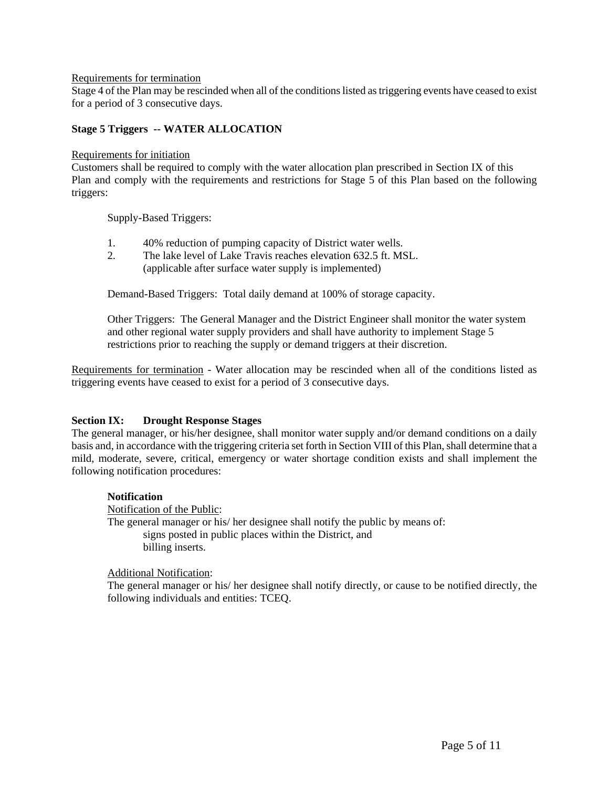### Requirements for termination

Stage 4 of the Plan may be rescinded when all of the conditions listed as triggering events have ceased to exist for a period of 3 consecutive days.

## **Stage 5 Triggers -- WATER ALLOCATION**

### Requirements for initiation

Customers shall be required to comply with the water allocation plan prescribed in Section IX of this Plan and comply with the requirements and restrictions for Stage 5 of this Plan based on the following triggers:

Supply-Based Triggers:

- 1. 40% reduction of pumping capacity of District water wells.
- 2. The lake level of Lake Travis reaches elevation 632.5 ft. MSL. (applicable after surface water supply is implemented)

Demand-Based Triggers: Total daily demand at 100% of storage capacity.

Other Triggers: The General Manager and the District Engineer shall monitor the water system and other regional water supply providers and shall have authority to implement Stage 5 restrictions prior to reaching the supply or demand triggers at their discretion.

Requirements for termination - Water allocation may be rescinded when all of the conditions listed as triggering events have ceased to exist for a period of 3 consecutive days.

## **Section IX: Drought Response Stages**

The general manager, or his/her designee, shall monitor water supply and/or demand conditions on a daily basis and, in accordance with the triggering criteria set forth in Section VIII of this Plan, shall determine that a mild, moderate, severe, critical, emergency or water shortage condition exists and shall implement the following notification procedures:

## **Notification**

Notification of the Public: The general manager or his/ her designee shall notify the public by means of: signs posted in public places within the District, and billing inserts.

## Additional Notification:

The general manager or his/ her designee shall notify directly, or cause to be notified directly, the following individuals and entities: TCEQ.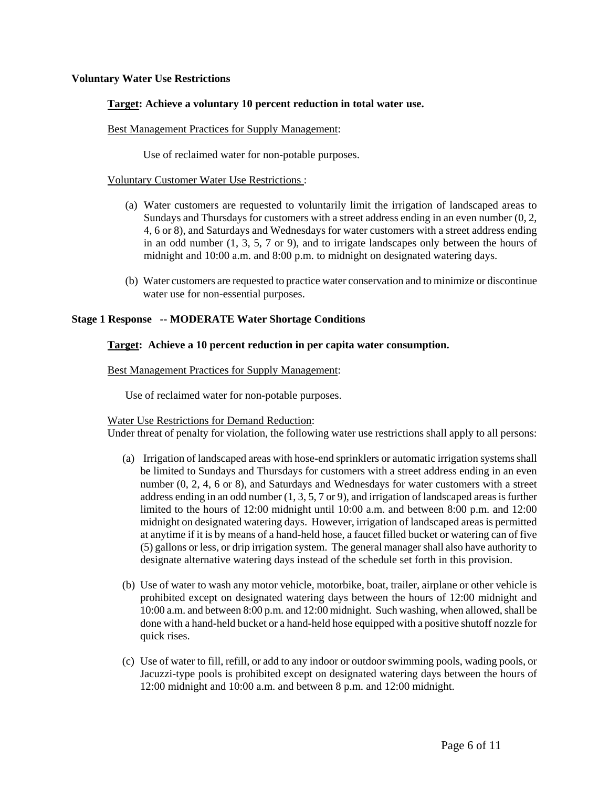### **Voluntary Water Use Restrictions**

### **Target: Achieve a voluntary 10 percent reduction in total water use.**

#### Best Management Practices for Supply Management:

Use of reclaimed water for non-potable purposes.

#### Voluntary Customer Water Use Restrictions :

- (a) Water customers are requested to voluntarily limit the irrigation of landscaped areas to Sundays and Thursdays for customers with a street address ending in an even number (0, 2, 4, 6 or 8), and Saturdays and Wednesdays for water customers with a street address ending in an odd number  $(1, 3, 5, 7)$  or 9), and to irrigate landscapes only between the hours of midnight and 10:00 a.m. and 8:00 p.m. to midnight on designated watering days.
- (b) Water customers are requested to practice water conservation and to minimize or discontinue water use for non-essential purposes.

#### **Stage 1 Response -- MODERATE Water Shortage Conditions**

### **Target: Achieve a 10 percent reduction in per capita water consumption.**

#### Best Management Practices for Supply Management:

Use of reclaimed water for non-potable purposes.

#### Water Use Restrictions for Demand Reduction:

Under threat of penalty for violation, the following water use restrictions shall apply to all persons:

- (a) Irrigation of landscaped areas with hose-end sprinklers or automatic irrigation systems shall be limited to Sundays and Thursdays for customers with a street address ending in an even number (0, 2, 4, 6 or 8), and Saturdays and Wednesdays for water customers with a street address ending in an odd number  $(1, 3, 5, 7)$  or 9), and irrigation of landscaped areas is further limited to the hours of 12:00 midnight until 10:00 a.m. and between 8:00 p.m. and 12:00 midnight on designated watering days. However, irrigation of landscaped areas is permitted at anytime if it is by means of a hand-held hose, a faucet filled bucket or watering can of five (5) gallons or less, or drip irrigation system. The general manager shall also have authority to designate alternative watering days instead of the schedule set forth in this provision.
- (b) Use of water to wash any motor vehicle, motorbike, boat, trailer, airplane or other vehicle is prohibited except on designated watering days between the hours of 12:00 midnight and 10:00 a.m. and between 8:00 p.m. and 12:00 midnight. Such washing, when allowed, shall be done with a hand-held bucket or a hand-held hose equipped with a positive shutoff nozzle for quick rises.
- (c) Use of water to fill, refill, or add to any indoor or outdoor swimming pools, wading pools, or Jacuzzi-type pools is prohibited except on designated watering days between the hours of 12:00 midnight and 10:00 a.m. and between 8 p.m. and 12:00 midnight.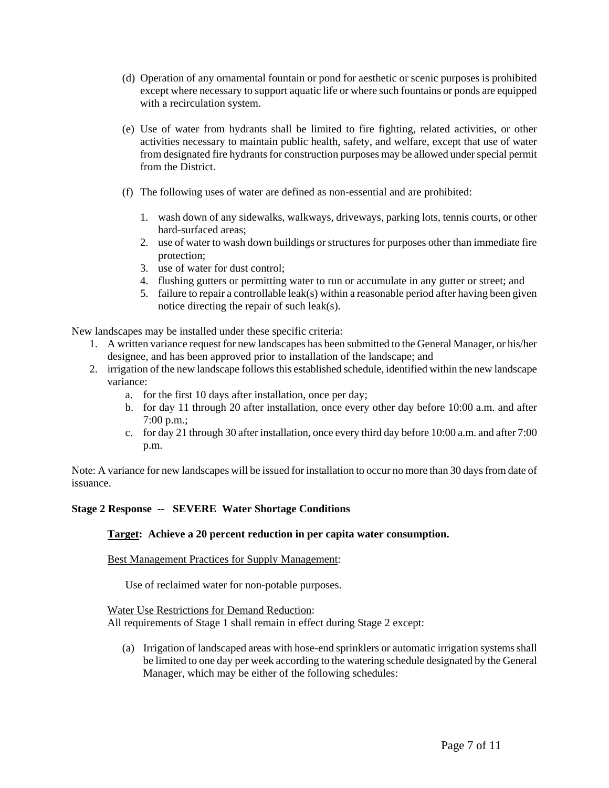- (d) Operation of any ornamental fountain or pond for aesthetic or scenic purposes is prohibited except where necessary to support aquatic life or where such fountains or ponds are equipped with a recirculation system.
- (e) Use of water from hydrants shall be limited to fire fighting, related activities, or other activities necessary to maintain public health, safety, and welfare, except that use of water from designated fire hydrants for construction purposes may be allowed under special permit from the District.
- (f) The following uses of water are defined as non-essential and are prohibited:
	- 1. wash down of any sidewalks, walkways, driveways, parking lots, tennis courts, or other hard-surfaced areas;
	- 2. use of water to wash down buildings or structures for purposes other than immediate fire protection;
	- 3. use of water for dust control;
	- 4. flushing gutters or permitting water to run or accumulate in any gutter or street; and
	- 5. failure to repair a controllable leak(s) within a reasonable period after having been given notice directing the repair of such leak(s).

New landscapes may be installed under these specific criteria:

- 1. A written variance request for new landscapes has been submitted to the General Manager, or his/her designee, and has been approved prior to installation of the landscape; and
- 2. irrigation of the new landscape follows this established schedule, identified within the new landscape variance:
	- a. for the first 10 days after installation, once per day;
	- b. for day 11 through 20 after installation, once every other day before 10:00 a.m. and after 7:00 p.m.;
	- c. for day 21 through 30 after installation, once every third day before 10:00 a.m. and after 7:00 p.m.

Note: A variance for new landscapes will be issued for installation to occur no more than 30 days from date of issuance.

# **Stage 2 Response -- SEVERE Water Shortage Conditions**

## **Target: Achieve a 20 percent reduction in per capita water consumption.**

## Best Management Practices for Supply Management:

Use of reclaimed water for non-potable purposes.

Water Use Restrictions for Demand Reduction:

All requirements of Stage 1 shall remain in effect during Stage 2 except:

(a) Irrigation of landscaped areas with hose-end sprinklers or automatic irrigation systems shall be limited to one day per week according to the watering schedule designated by the General Manager, which may be either of the following schedules: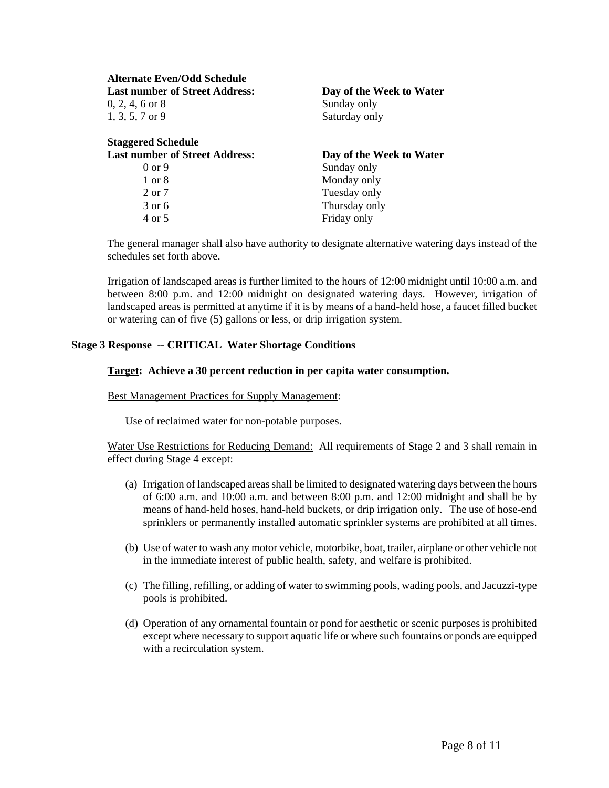| <b>Alternate Even/Odd Schedule</b>       |                              |
|------------------------------------------|------------------------------|
| <b>Last number of Street Address:</b>    | Day of the Week to Water     |
| $0, 2, 4, 6$ or $8$<br>$1, 3, 5, 7$ or 9 | Sunday only<br>Saturday only |
|                                          |                              |
| <b>Last number of Street Address:</b>    | Day of the Week to Water     |
| $0 \text{ or } 9$                        | Sunday only                  |
| $1 \text{ or } 8$                        | Monday only                  |
| $2$ or $7$                               | Tuesday only                 |
| $3$ or 6                                 | Thursday only                |
|                                          |                              |

The general manager shall also have authority to designate alternative watering days instead of the schedules set forth above.

Irrigation of landscaped areas is further limited to the hours of 12:00 midnight until 10:00 a.m. and between 8:00 p.m. and 12:00 midnight on designated watering days. However, irrigation of landscaped areas is permitted at anytime if it is by means of a hand-held hose, a faucet filled bucket or watering can of five (5) gallons or less, or drip irrigation system.

## **Stage 3 Response -- CRITICAL Water Shortage Conditions**

## **Target: Achieve a 30 percent reduction in per capita water consumption.**

### Best Management Practices for Supply Management:

Use of reclaimed water for non-potable purposes.

Water Use Restrictions for Reducing Demand: All requirements of Stage 2 and 3 shall remain in effect during Stage 4 except:

- (a) Irrigation of landscaped areas shall be limited to designated watering days between the hours of 6:00 a.m. and 10:00 a.m. and between 8:00 p.m. and 12:00 midnight and shall be by means of hand-held hoses, hand-held buckets, or drip irrigation only. The use of hose-end sprinklers or permanently installed automatic sprinkler systems are prohibited at all times.
- (b) Use of water to wash any motor vehicle, motorbike, boat, trailer, airplane or other vehicle not in the immediate interest of public health, safety, and welfare is prohibited.
- (c) The filling, refilling, or adding of water to swimming pools, wading pools, and Jacuzzi-type pools is prohibited.
- (d) Operation of any ornamental fountain or pond for aesthetic or scenic purposes is prohibited except where necessary to support aquatic life or where such fountains or ponds are equipped with a recirculation system.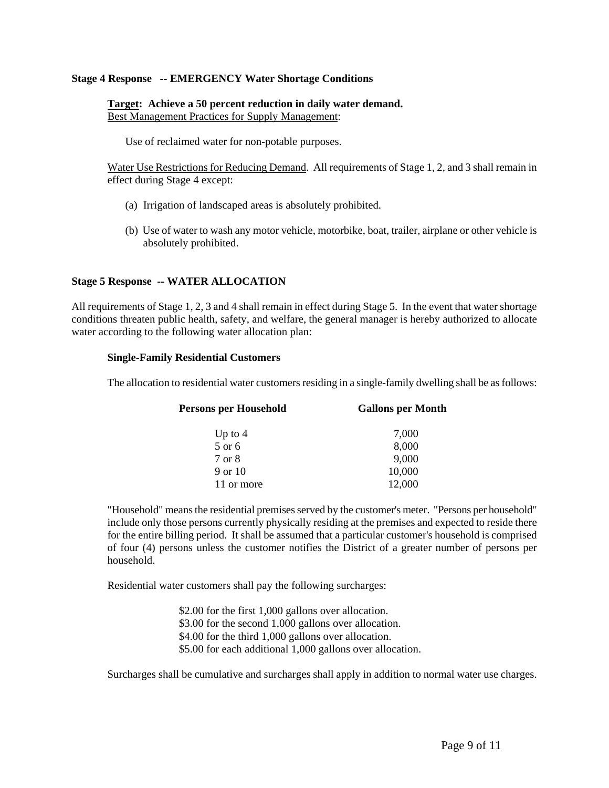### **Stage 4 Response -- EMERGENCY Water Shortage Conditions**

## **Target: Achieve a 50 percent reduction in daily water demand.** Best Management Practices for Supply Management:

Use of reclaimed water for non-potable purposes.

Water Use Restrictions for Reducing Demand. All requirements of Stage 1, 2, and 3 shall remain in effect during Stage 4 except:

- (a) Irrigation of landscaped areas is absolutely prohibited.
- (b) Use of water to wash any motor vehicle, motorbike, boat, trailer, airplane or other vehicle is absolutely prohibited.

## **Stage 5 Response -- WATER ALLOCATION**

All requirements of Stage 1, 2, 3 and 4 shall remain in effect during Stage 5. In the event that water shortage conditions threaten public health, safety, and welfare, the general manager is hereby authorized to allocate water according to the following water allocation plan:

#### **Single-Family Residential Customers**

The allocation to residential water customers residing in a single-family dwelling shall be as follows:

| <b>Persons per Household</b> | <b>Gallons per Month</b> |
|------------------------------|--------------------------|
| Up to $4$                    | 7,000                    |
| 5 or 6                       | 8,000                    |
| 7 or 8                       | 9,000                    |
| 9 or 10                      | 10,000                   |
| 11 or more                   | 12,000                   |

"Household" means the residential premises served by the customer's meter. "Persons per household" include only those persons currently physically residing at the premises and expected to reside there for the entire billing period. It shall be assumed that a particular customer's household is comprised of four (4) persons unless the customer notifies the District of a greater number of persons per household.

Residential water customers shall pay the following surcharges:

\$2.00 for the first 1,000 gallons over allocation. \$3.00 for the second 1,000 gallons over allocation. \$4.00 for the third 1,000 gallons over allocation. \$5.00 for each additional 1,000 gallons over allocation.

Surcharges shall be cumulative and surcharges shall apply in addition to normal water use charges.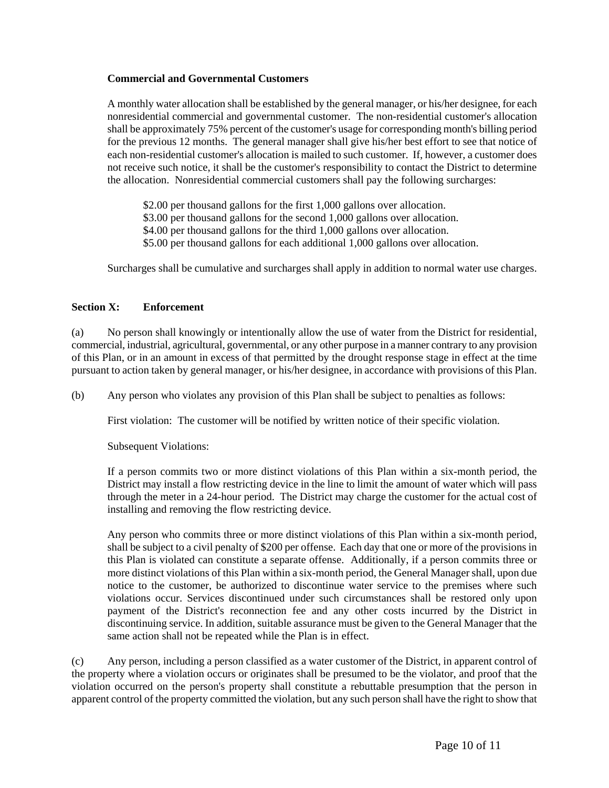## **Commercial and Governmental Customers**

A monthly water allocation shall be established by the general manager, or his/her designee, for each nonresidential commercial and governmental customer. The non-residential customer's allocation shall be approximately 75% percent of the customer's usage for corresponding month's billing period for the previous 12 months. The general manager shall give his/her best effort to see that notice of each non-residential customer's allocation is mailed to such customer. If, however, a customer does not receive such notice, it shall be the customer's responsibility to contact the District to determine the allocation. Nonresidential commercial customers shall pay the following surcharges:

\$2.00 per thousand gallons for the first 1,000 gallons over allocation.

\$3.00 per thousand gallons for the second 1,000 gallons over allocation.

\$4.00 per thousand gallons for the third 1,000 gallons over allocation.

\$5.00 per thousand gallons for each additional 1,000 gallons over allocation.

Surcharges shall be cumulative and surcharges shall apply in addition to normal water use charges.

## **Section X: Enforcement**

(a) No person shall knowingly or intentionally allow the use of water from the District for residential, commercial, industrial, agricultural, governmental, or any other purpose in a manner contrary to any provision of this Plan, or in an amount in excess of that permitted by the drought response stage in effect at the time pursuant to action taken by general manager, or his/her designee, in accordance with provisions of this Plan.

(b) Any person who violates any provision of this Plan shall be subject to penalties as follows:

First violation: The customer will be notified by written notice of their specific violation.

Subsequent Violations:

If a person commits two or more distinct violations of this Plan within a six-month period, the District may install a flow restricting device in the line to limit the amount of water which will pass through the meter in a 24-hour period. The District may charge the customer for the actual cost of installing and removing the flow restricting device.

Any person who commits three or more distinct violations of this Plan within a six-month period, shall be subject to a civil penalty of \$200 per offense. Each day that one or more of the provisions in this Plan is violated can constitute a separate offense. Additionally, if a person commits three or more distinct violations of this Plan within a six-month period, the General Manager shall, upon due notice to the customer, be authorized to discontinue water service to the premises where such violations occur. Services discontinued under such circumstances shall be restored only upon payment of the District's reconnection fee and any other costs incurred by the District in discontinuing service. In addition, suitable assurance must be given to the General Manager that the same action shall not be repeated while the Plan is in effect.

(c) Any person, including a person classified as a water customer of the District, in apparent control of the property where a violation occurs or originates shall be presumed to be the violator, and proof that the violation occurred on the person's property shall constitute a rebuttable presumption that the person in apparent control of the property committed the violation, but any such person shall have the right to show that